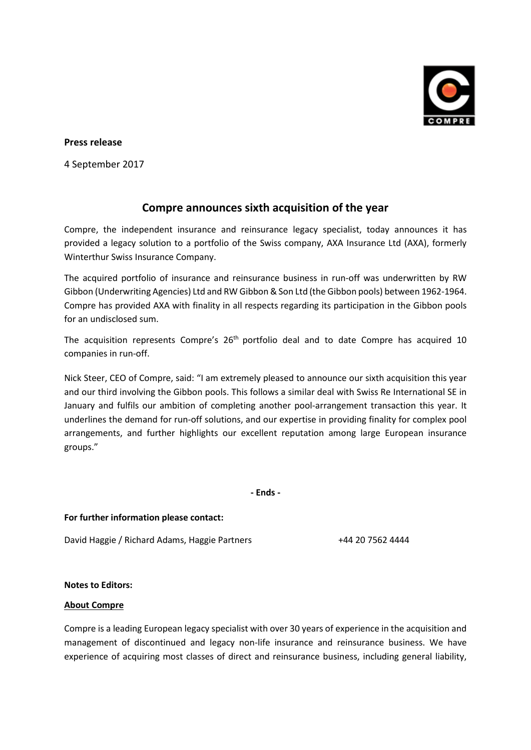

## **Press release**

4 September 2017

## **Compre announces sixth acquisition of the year**

Compre, the independent insurance and reinsurance legacy specialist, today announces it has provided a legacy solution to a portfolio of the Swiss company, AXA Insurance Ltd (AXA), formerly Winterthur Swiss Insurance Company.

The acquired portfolio of insurance and reinsurance business in run-off was underwritten by RW Gibbon (Underwriting Agencies) Ltd and RW Gibbon & Son Ltd (the Gibbon pools) between 1962-1964. Compre has provided AXA with finality in all respects regarding its participation in the Gibbon pools for an undisclosed sum.

The acquisition represents Compre's 26<sup>th</sup> portfolio deal and to date Compre has acquired 10 companies in run-off.

Nick Steer, CEO of Compre, said: "I am extremely pleased to announce our sixth acquisition this year and our third involving the Gibbon pools. This follows a similar deal with Swiss Re International SE in January and fulfils our ambition of completing another pool-arrangement transaction this year. It underlines the demand for run-off solutions, and our expertise in providing finality for complex pool arrangements, and further highlights our excellent reputation among large European insurance groups."

**- Ends -**

**For further information please contact:**

David Haggie / Richard Adams, Haggie Partners +44 20 7562 4444

## **Notes to Editors:**

## **About Compre**

Compre is a leading European legacy specialist with over 30 years of experience in the acquisition and management of discontinued and legacy non-life insurance and reinsurance business. We have experience of acquiring most classes of direct and reinsurance business, including general liability,